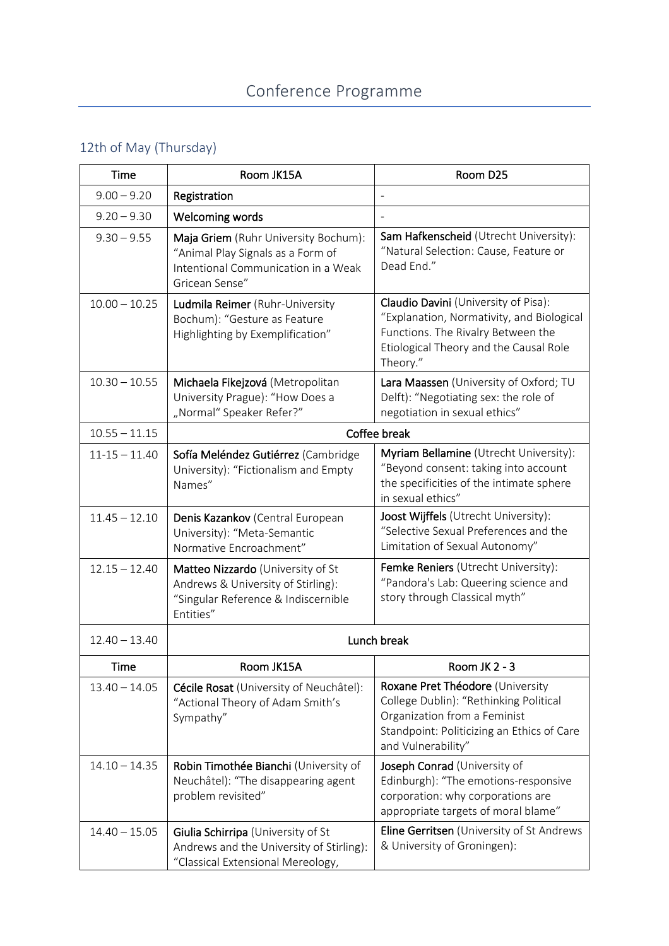## 12th of May (Thursday)

| Time              | Room JK15A                                                                                                                         | Room D25                                                                                                                                                                       |
|-------------------|------------------------------------------------------------------------------------------------------------------------------------|--------------------------------------------------------------------------------------------------------------------------------------------------------------------------------|
| $9.00 - 9.20$     | Registration                                                                                                                       |                                                                                                                                                                                |
| $9.20 - 9.30$     | Welcoming words                                                                                                                    |                                                                                                                                                                                |
| $9.30 - 9.55$     | Maja Griem (Ruhr University Bochum):<br>"Animal Play Signals as a Form of<br>Intentional Communication in a Weak<br>Gricean Sense" | Sam Hafkenscheid (Utrecht University):<br>"Natural Selection: Cause, Feature or<br>Dead End."                                                                                  |
| $10.00 - 10.25$   | Ludmila Reimer (Ruhr-University<br>Bochum): "Gesture as Feature<br>Highlighting by Exemplification"                                | Claudio Davini (University of Pisa):<br>"Explanation, Normativity, and Biological<br>Functions. The Rivalry Between the<br>Etiological Theory and the Causal Role<br>Theory."  |
| $10.30 - 10.55$   | Michaela Fikejzová (Metropolitan<br>University Prague): "How Does a<br>"Normal" Speaker Refer?"                                    | Lara Maassen (University of Oxford; TU<br>Delft): "Negotiating sex: the role of<br>negotiation in sexual ethics"                                                               |
| $10.55 - 11.15$   | Coffee break                                                                                                                       |                                                                                                                                                                                |
| $11 - 15 - 11.40$ | Sofía Meléndez Gutiérrez (Cambridge<br>University): "Fictionalism and Empty<br>Names"                                              | Myriam Bellamine (Utrecht University):<br>"Beyond consent: taking into account<br>the specificities of the intimate sphere<br>in sexual ethics"                                |
| $11.45 - 12.10$   | Denis Kazankov (Central European<br>University): "Meta-Semantic<br>Normative Encroachment"                                         | Joost Wijffels (Utrecht University):<br>"Selective Sexual Preferences and the<br>Limitation of Sexual Autonomy"                                                                |
| $12.15 - 12.40$   | Matteo Nizzardo (University of St<br>Andrews & University of Stirling):<br>"Singular Reference & Indiscernible<br>Entities"        | Femke Reniers (Utrecht University):<br>"Pandora's Lab: Queering science and<br>story through Classical myth"                                                                   |
| $12.40 - 13.40$   | Lunch break                                                                                                                        |                                                                                                                                                                                |
| Time              | Room JK15A                                                                                                                         | Room JK 2 - 3                                                                                                                                                                  |
| $13.40 - 14.05$   | Cécile Rosat (University of Neuchâtel):<br>"Actional Theory of Adam Smith's<br>Sympathy"                                           | Roxane Pret Théodore (University<br>College Dublin): "Rethinking Political<br>Organization from a Feminist<br>Standpoint: Politicizing an Ethics of Care<br>and Vulnerability" |
| $14.10 - 14.35$   | Robin Timothée Bianchi (University of<br>Neuchâtel): "The disappearing agent<br>problem revisited"                                 | Joseph Conrad (University of<br>Edinburgh): "The emotions-responsive<br>corporation: why corporations are<br>appropriate targets of moral blame"                               |
| $14.40 - 15.05$   | Giulia Schirripa (University of St<br>Andrews and the University of Stirling):<br>"Classical Extensional Mereology,                | Eline Gerritsen (University of St Andrews<br>& University of Groningen):                                                                                                       |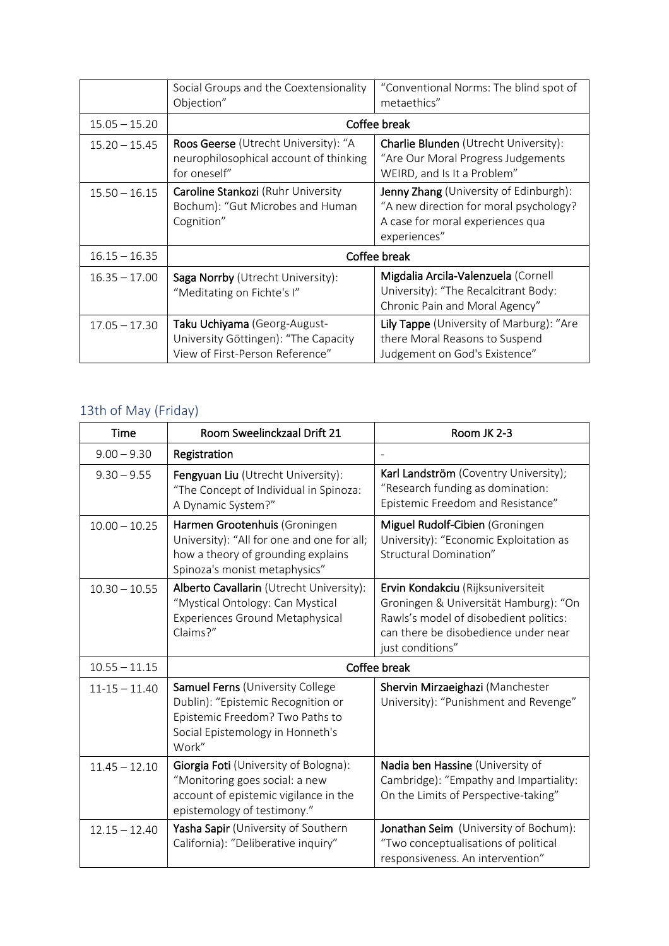|                 | Social Groups and the Coextensionality<br>Objection"                                                    | "Conventional Norms: The blind spot of<br>metaethics"                                                                                |
|-----------------|---------------------------------------------------------------------------------------------------------|--------------------------------------------------------------------------------------------------------------------------------------|
| $15.05 - 15.20$ | Coffee break                                                                                            |                                                                                                                                      |
| $15.20 - 15.45$ | Roos Geerse (Utrecht University): "A<br>neurophilosophical account of thinking<br>for oneself"          | <b>Charlie Blunden</b> (Utrecht University):<br>"Are Our Moral Progress Judgements<br>WEIRD, and Is It a Problem"                    |
| $15.50 - 16.15$ | Caroline Stankozi (Ruhr University<br>Bochum): "Gut Microbes and Human<br>Cognition"                    | Jenny Zhang (University of Edinburgh):<br>"A new direction for moral psychology?<br>A case for moral experiences qua<br>experiences" |
| $16.15 - 16.35$ | Coffee break                                                                                            |                                                                                                                                      |
| $16.35 - 17.00$ | Saga Norrby (Utrecht University):<br>"Meditating on Fichte's I"                                         | Migdalia Arcila-Valenzuela (Cornell<br>University): "The Recalcitrant Body:<br>Chronic Pain and Moral Agency"                        |
| $17.05 - 17.30$ | Taku Uchiyama (Georg-August-<br>University Göttingen): "The Capacity<br>View of First-Person Reference" | Lily Tappe (University of Marburg): "Are<br>there Moral Reasons to Suspend<br>Judgement on God's Existence"                          |

## 13th of May (Friday)

| Time              | Room Sweelinckzaal Drift 21                                                                                                                            | Room JK 2-3                                                                                                                                                                       |
|-------------------|--------------------------------------------------------------------------------------------------------------------------------------------------------|-----------------------------------------------------------------------------------------------------------------------------------------------------------------------------------|
| $9.00 - 9.30$     | Registration                                                                                                                                           |                                                                                                                                                                                   |
| $9.30 - 9.55$     | Fengyuan Liu (Utrecht University):<br>"The Concept of Individual in Spinoza:<br>A Dynamic System?"                                                     | Karl Landström (Coventry University);<br>"Research funding as domination:<br>Epistemic Freedom and Resistance"                                                                    |
| $10.00 - 10.25$   | Harmen Grootenhuis (Groningen<br>University): "All for one and one for all;<br>how a theory of grounding explains<br>Spinoza's monist metaphysics"     | Miguel Rudolf-Cibien (Groningen<br>University): "Economic Exploitation as<br>Structural Domination"                                                                               |
| $10.30 - 10.55$   | Alberto Cavallarin (Utrecht University):<br>"Mystical Ontology: Can Mystical<br><b>Experiences Ground Metaphysical</b><br>Claims?"                     | Ervin Kondakciu (Rijksuniversiteit<br>Groningen & Universität Hamburg): "On<br>Rawls's model of disobedient politics:<br>can there be disobedience under near<br>just conditions" |
| $10.55 - 11.15$   | Coffee break                                                                                                                                           |                                                                                                                                                                                   |
| $11 - 15 - 11.40$ | Samuel Ferns (University College<br>Dublin): "Epistemic Recognition or<br>Epistemic Freedom? Two Paths to<br>Social Epistemology in Honneth's<br>Work" | Shervin Mirzaeighazi (Manchester<br>University): "Punishment and Revenge"                                                                                                         |
| $11.45 - 12.10$   | Giorgia Foti (University of Bologna):<br>"Monitoring goes social: a new<br>account of epistemic vigilance in the<br>epistemology of testimony."        | Nadia ben Hassine (University of<br>Cambridge): "Empathy and Impartiality:<br>On the Limits of Perspective-taking"                                                                |
| $12.15 - 12.40$   | Yasha Sapir (University of Southern<br>California): "Deliberative inquiry"                                                                             | Jonathan Seim (University of Bochum):<br>"Two conceptualisations of political<br>responsiveness. An intervention"                                                                 |